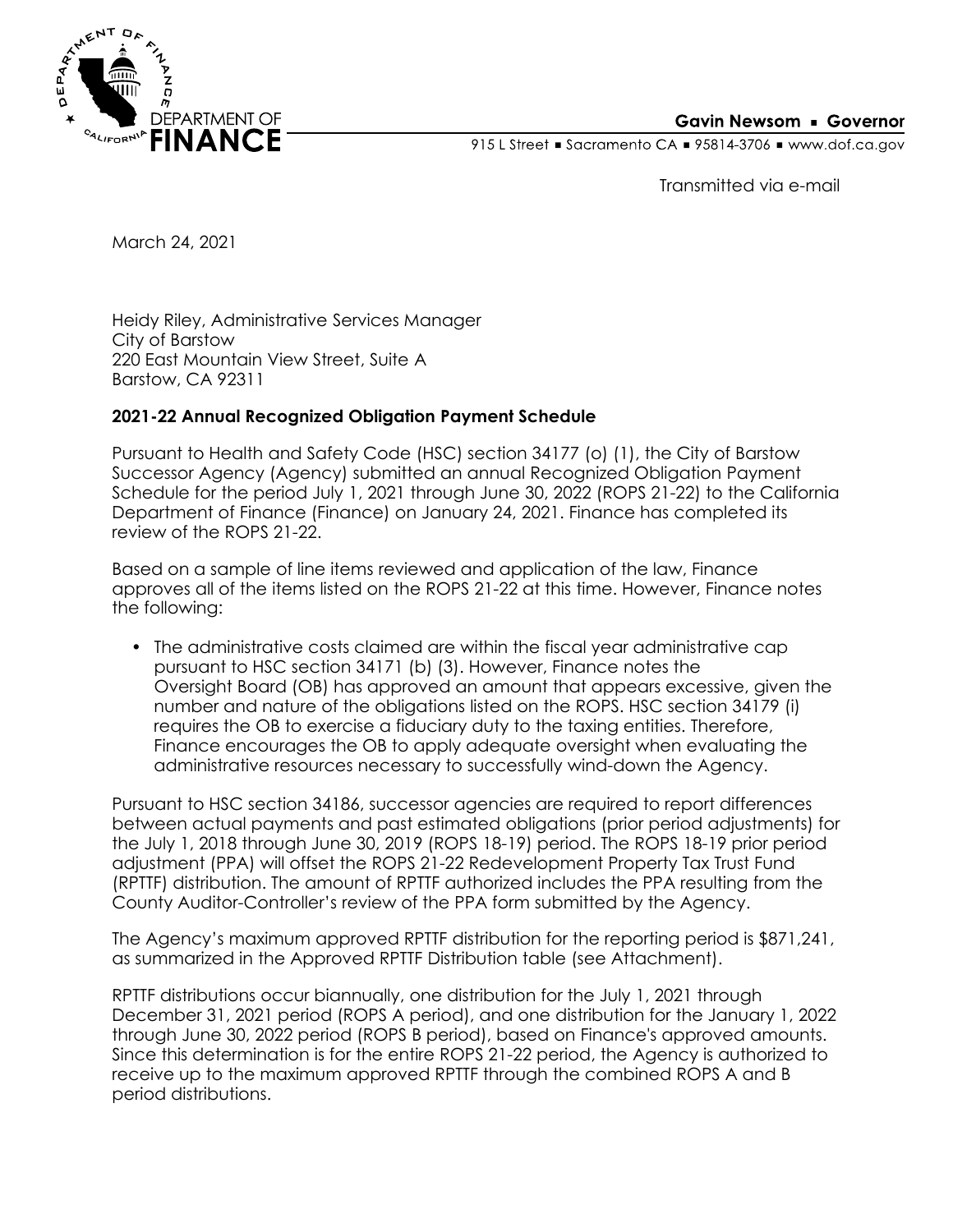

## **Gavin Newsom • Governor**

915 L Street Gacramento CA = 95814-3706 Www.dof.ca.gov

Transmitted via e-mail

March 24, 2021

Heidy Riley, Administrative Services Manager City of Barstow 220 East Mountain View Street, Suite A Barstow, CA 92311

## **2021-22 Annual Recognized Obligation Payment Schedule**

Pursuant to Health and Safety Code (HSC) section 34177 (o) (1), the City of Barstow Successor Agency (Agency) submitted an annual Recognized Obligation Payment Schedule for the period July 1, 2021 through June 30, 2022 (ROPS 21-22) to the California Department of Finance (Finance) on January 24, 2021. Finance has completed its review of the ROPS 21-22.

Based on a sample of line items reviewed and application of the law, Finance approves all of the items listed on the ROPS 21-22 at this time. However, Finance notes the following:

• The administrative costs claimed are within the fiscal year administrative cap pursuant to HSC section 34171 (b) (3). However, Finance notes the Oversight Board (OB) has approved an amount that appears excessive, given the number and nature of the obligations listed on the ROPS. HSC section 34179 (i) requires the OB to exercise a fiduciary duty to the taxing entities. Therefore, Finance encourages the OB to apply adequate oversight when evaluating the administrative resources necessary to successfully wind-down the Agency.

Pursuant to HSC section 34186, successor agencies are required to report differences between actual payments and past estimated obligations (prior period adjustments) for the July 1, 2018 through June 30, 2019 (ROPS 18-19) period. The ROPS 18-19 prior period adjustment (PPA) will offset the ROPS 21-22 Redevelopment Property Tax Trust Fund (RPTTF) distribution. The amount of RPTTF authorized includes the PPA resulting from the County Auditor-Controller's review of the PPA form submitted by the Agency.

The Agency's maximum approved RPTTF distribution for the reporting period is \$871,241, as summarized in the Approved RPTTF Distribution table (see Attachment).

RPTTF distributions occur biannually, one distribution for the July 1, 2021 through December 31, 2021 period (ROPS A period), and one distribution for the January 1, 2022 through June 30, 2022 period (ROPS B period), based on Finance's approved amounts. Since this determination is for the entire ROPS 21-22 period, the Agency is authorized to receive up to the maximum approved RPTTF through the combined ROPS A and B period distributions.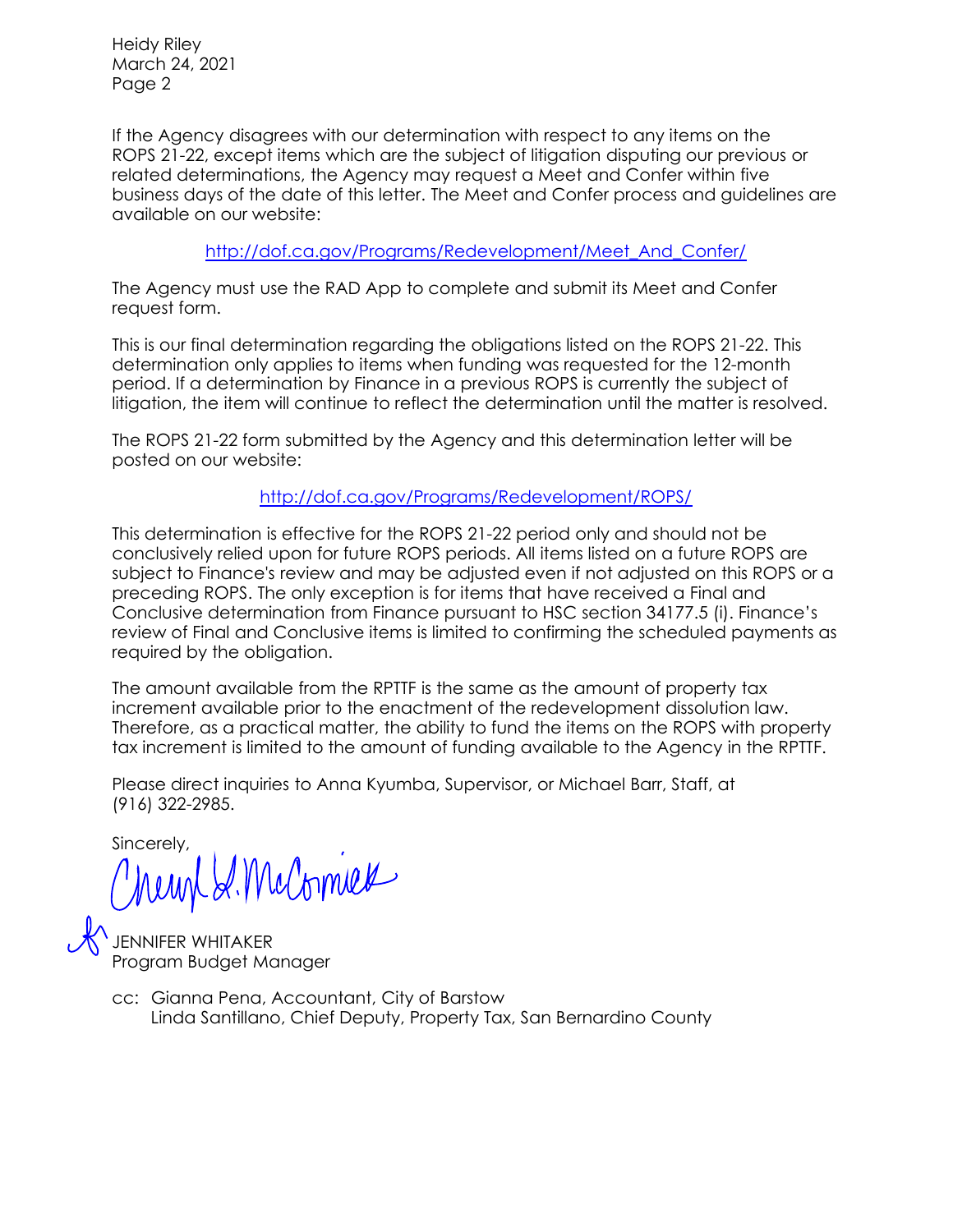Heidy Riley March 24, 2021 Page 2

If the Agency disagrees with our determination with respect to any items on the ROPS 21-22, except items which are the subject of litigation disputing our previous or related determinations, the Agency may request a Meet and Confer within five business days of the date of this letter. The Meet and Confer process and guidelines are available on our website:

[http://dof.ca.gov/Programs/Redevelopment/Meet\\_And\\_Confer/](http://dof.ca.gov/Programs/Redevelopment/Meet_And_Confer/) 

The Agency must use the RAD App to complete and submit its Meet and Confer request form.

This is our final determination regarding the obligations listed on the ROPS 21-22. This determination only applies to items when funding was requested for the 12-month period. If a determination by Finance in a previous ROPS is currently the subject of litigation, the item will continue to reflect the determination until the matter is resolved.

The ROPS 21-22 form submitted by the Agency and this determination letter will be posted on our website:

<http://dof.ca.gov/Programs/Redevelopment/ROPS/>

This determination is effective for the ROPS 21-22 period only and should not be conclusively relied upon for future ROPS periods. All items listed on a future ROPS are subject to Finance's review and may be adjusted even if not adjusted on this ROPS or a preceding ROPS. The only exception is for items that have received a Final and Conclusive determination from Finance pursuant to HSC section 34177.5 (i). Finance's review of Final and Conclusive items is limited to confirming the scheduled payments as required by the obligation.

The amount available from the RPTTF is the same as the amount of property tax increment available prior to the enactment of the redevelopment dissolution law. Therefore, as a practical matter, the ability to fund the items on the ROPS with property tax increment is limited to the amount of funding available to the Agency in the RPTTF.

Please direct inquiries to Anna Kyumba, Supervisor, or Michael Barr, Staff, at (916) 322-2985.

Sincerely,

meunt S. McCornues

JENNIFER WHITAKER Program Budget Manager

Linda Santillano, Chief Deputy, Property Tax, San Bernardino County cc: Gianna Pena, Accountant, City of Barstow